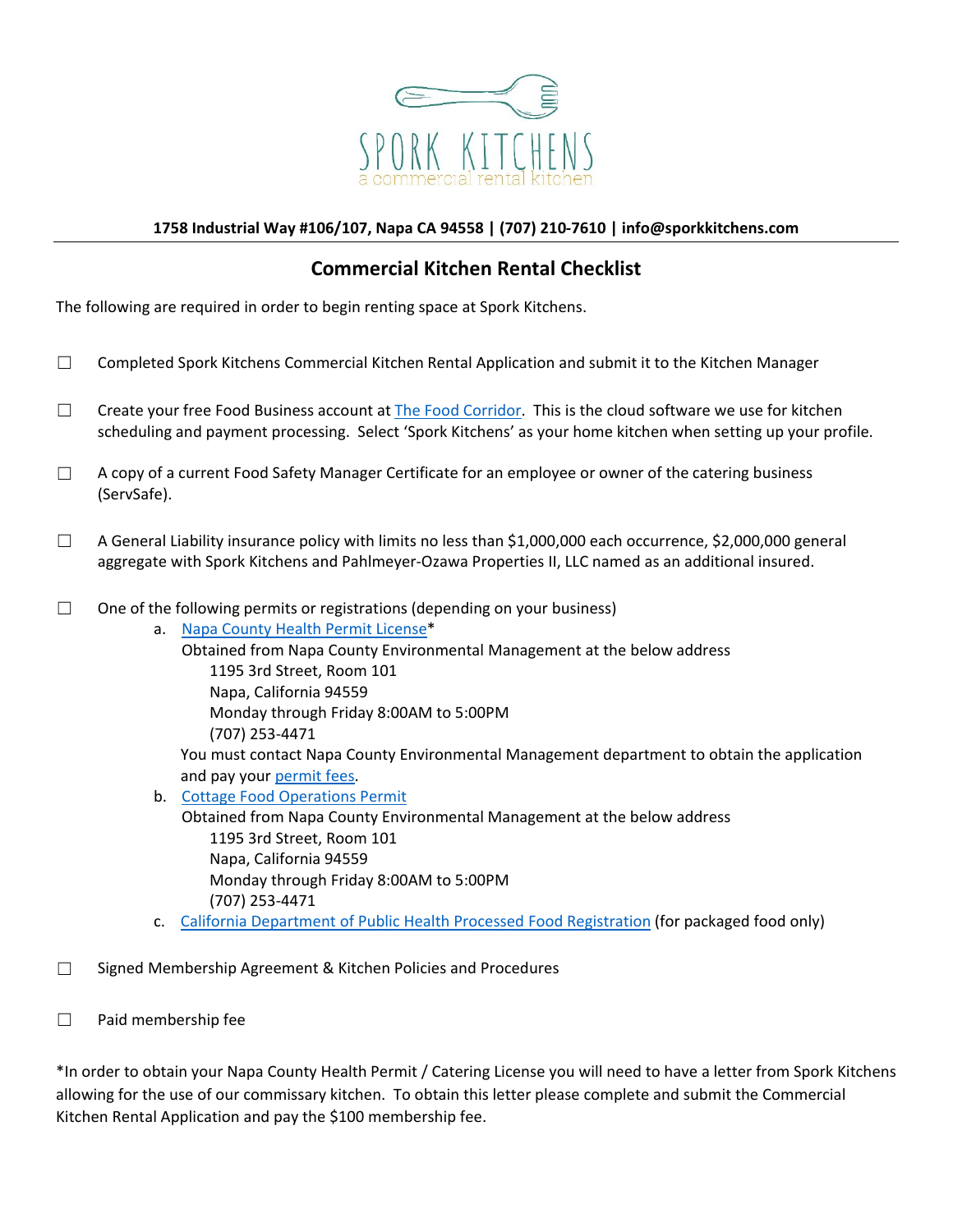

## **1758 Industrial Way #106/107, Napa CA 94558 | (707) 210-7610 | info@sporkkitchens.com**

## **Commercial Kitchen Rental Checklist**

The following are required in order to begin renting space at Spork Kitchens.

- ☐ Completed Spork Kitchens Commercial Kitchen Rental Application and submit it to the Kitchen Manager
- □ Create your free Food Business account at The Food Corridor. This is the cloud software we use for kitchen scheduling and payment processing. Select 'Spork Kitchens' as your home kitchen when setting up your profile.
- $\Box$  A copy of a current Food Safety Manager Certificate for an employee or owner of the catering business (ServSafe).
- $\Box$  A General Liability insurance policy with limits no less than \$1,000,000 each occurrence, \$2,000,000 general aggregate with Spork Kitchens and Pahlmeyer-Ozawa Properties II, LLC named as an additional insured.
- $\Box$  One of the following permits or registrations (depending on your business)

a. Napa County Health Permit License\* Obtained from Napa County Environmental Management at the below address 1195 3rd Street, Room 101 Napa, California 94559 Monday through Friday 8:00AM to 5:00PM (707) 253-4471 You must contact Napa County Environmental Management department to obtain the application and pay your permit fees.

- b. Cottage Food Operations Permit Obtained from Napa County Environmental Management at the below address 1195 3rd Street, Room 101 Napa, California 94559 Monday through Friday 8:00AM to 5:00PM (707) 253-4471
- c. California Department of Public Health Processed Food Registration (for packaged food only)
- $\Box$  Signed Membership Agreement & Kitchen Policies and Procedures
- ☐ Paid membership fee

\*In order to obtain your Napa County Health Permit / Catering License you will need to have a letter from Spork Kitchens allowing for the use of our commissary kitchen. To obtain this letter please complete and submit the Commercial Kitchen Rental Application and pay the \$100 membership fee.